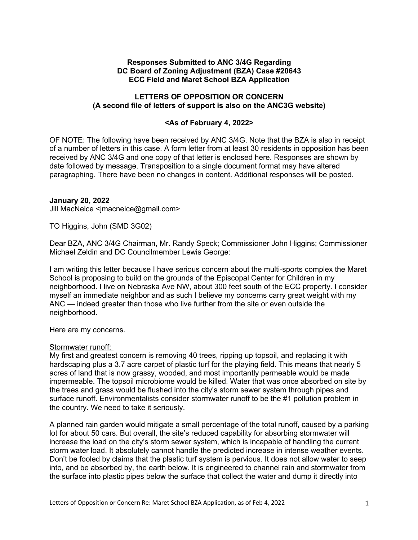## **Responses Submitted to ANC 3/4G Regarding DC Board of Zoning Adjustment (BZA) Case #20643 ECC Field and Maret School BZA Application**

## **LETTERS OF OPPOSITION OR CONCERN (A second file of letters of support is also on the ANC3G website)**

### **<As of February 4, 2022>**

OF NOTE: The following have been received by ANC 3/4G. Note that the BZA is also in receipt of a number of letters in this case. A form letter from at least 30 residents in opposition has been received by ANC 3/4G and one copy of that letter is enclosed here. Responses are shown by date followed by message. Transposition to a single document format may have altered paragraphing. There have been no changes in content. Additional responses will be posted.

### **January 20, 2022**

Jill MacNeice <jmacneice@gmail.com>

TO Higgins, John (SMD 3G02)

Dear BZA, ANC 3/4G Chairman, Mr. Randy Speck; Commissioner John Higgins; Commissioner Michael Zeldin and DC Councilmember Lewis George:

I am writing this letter because I have serious concern about the multi-sports complex the Maret School is proposing to build on the grounds of the Episcopal Center for Children in my neighborhood. I live on Nebraska Ave NW, about 300 feet south of the ECC property. I consider myself an immediate neighbor and as such I believe my concerns carry great weight with my ANC — indeed greater than those who live further from the site or even outside the neighborhood.

Here are my concerns.

#### Stormwater runoff:

My first and greatest concern is removing 40 trees, ripping up topsoil, and replacing it with hardscaping plus a 3.7 acre carpet of plastic turf for the playing field. This means that nearly 5 acres of land that is now grassy, wooded, and most importantly permeable would be made impermeable. The topsoil microbiome would be killed. Water that was once absorbed on site by the trees and grass would be flushed into the city's storm sewer system through pipes and surface runoff. Environmentalists consider stormwater runoff to be the #1 pollution problem in the country. We need to take it seriously.

A planned rain garden would mitigate a small percentage of the total runoff, caused by a parking lot for about 50 cars. But overall, the site's reduced capability for absorbing stormwater will increase the load on the city's storm sewer system, which is incapable of handling the current storm water load. It absolutely cannot handle the predicted increase in intense weather events. Don't be fooled by claims that the plastic turf system is pervious. It does not allow water to seep into, and be absorbed by, the earth below. It is engineered to channel rain and stormwater from the surface into plastic pipes below the surface that collect the water and dump it directly into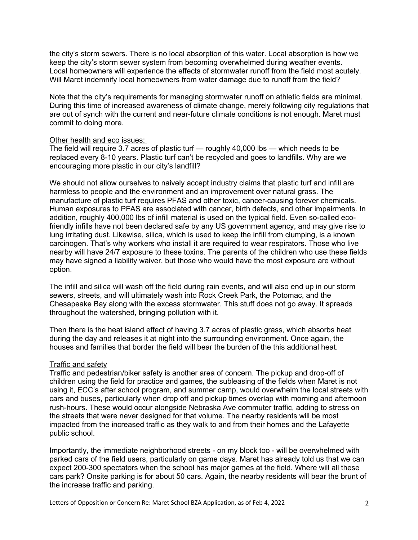the city's storm sewers. There is no local absorption of this water. Local absorption is how we keep the city's storm sewer system from becoming overwhelmed during weather events. Local homeowners will experience the effects of stormwater runoff from the field most acutely. Will Maret indemnify local homeowners from water damage due to runoff from the field?

Note that the city's requirements for managing stormwater runoff on athletic fields are minimal. During this time of increased awareness of climate change, merely following city regulations that are out of synch with the current and near-future climate conditions is not enough. Maret must commit to doing more.

## Other health and eco issues:

The field will require 3.7 acres of plastic turf — roughly 40,000 lbs — which needs to be replaced every 8-10 years. Plastic turf can't be recycled and goes to landfills. Why are we encouraging more plastic in our city's landfill?

We should not allow ourselves to naively accept industry claims that plastic turf and infill are harmless to people and the environment and an improvement over natural grass. The manufacture of plastic turf requires PFAS and other toxic, cancer-causing forever chemicals. Human exposures to PFAS are associated with cancer, birth defects, and other impairments. In addition, roughly 400,000 lbs of infill material is used on the typical field. Even so-called ecofriendly infills have not been declared safe by any US government agency, and may give rise to lung irritating dust. Likewise, silica, which is used to keep the infill from clumping, is a known carcinogen. That's why workers who install it are required to wear respirators. Those who live nearby will have 24/7 exposure to these toxins. The parents of the children who use these fields may have signed a liability waiver, but those who would have the most exposure are without option.

The infill and silica will wash off the field during rain events, and will also end up in our storm sewers, streets, and will ultimately wash into Rock Creek Park, the Potomac, and the Chesapeake Bay along with the excess stormwater. This stuff does not go away. It spreads throughout the watershed, bringing pollution with it.

Then there is the heat island effect of having 3.7 acres of plastic grass, which absorbs heat during the day and releases it at night into the surrounding environment. Once again, the houses and families that border the field will bear the burden of the this additional heat.

# Traffic and safety

Traffic and pedestrian/biker safety is another area of concern. The pickup and drop-off of children using the field for practice and games, the subleasing of the fields when Maret is not using it, ECC's after school program, and summer camp, would overwhelm the local streets with cars and buses, particularly when drop off and pickup times overlap with morning and afternoon rush-hours. These would occur alongside Nebraska Ave commuter traffic, adding to stress on the streets that were never designed for that volume. The nearby residents will be most impacted from the increased traffic as they walk to and from their homes and the Lafayette public school.

Importantly, the immediate neighborhood streets - on my block too - will be overwhelmed with parked cars of the field users, particularly on game days. Maret has already told us that we can expect 200-300 spectators when the school has major games at the field. Where will all these cars park? Onsite parking is for about 50 cars. Again, the nearby residents will bear the brunt of the increase traffic and parking.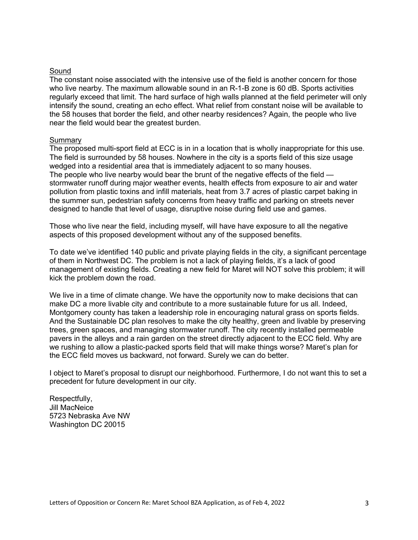## Sound

The constant noise associated with the intensive use of the field is another concern for those who live nearby. The maximum allowable sound in an R-1-B zone is 60 dB. Sports activities regularly exceed that limit. The hard surface of high walls planned at the field perimeter will only intensify the sound, creating an echo effect. What relief from constant noise will be available to the 58 houses that border the field, and other nearby residences? Again, the people who live near the field would bear the greatest burden.

### **Summary**

The proposed multi-sport field at ECC is in in a location that is wholly inappropriate for this use. The field is surrounded by 58 houses. Nowhere in the city is a sports field of this size usage wedged into a residential area that is immediately adjacent to so many houses. The people who live nearby would bear the brunt of the negative effects of the field stormwater runoff during major weather events, health effects from exposure to air and water pollution from plastic toxins and infill materials, heat from 3.7 acres of plastic carpet baking in the summer sun, pedestrian safety concerns from heavy traffic and parking on streets never designed to handle that level of usage, disruptive noise during field use and games.

Those who live near the field, including myself, will have have exposure to all the negative aspects of this proposed development without any of the supposed benefits.

To date we've identified 140 public and private playing fields in the city, a significant percentage of them in Northwest DC. The problem is not a lack of playing fields, it's a lack of good management of existing fields. Creating a new field for Maret will NOT solve this problem; it will kick the problem down the road.

We live in a time of climate change. We have the opportunity now to make decisions that can make DC a more livable city and contribute to a more sustainable future for us all. Indeed, Montgomery county has taken a leadership role in encouraging natural grass on sports fields. And the Sustainable DC plan resolves to make the city healthy, green and livable by preserving trees, green spaces, and managing stormwater runoff. The city recently installed permeable pavers in the alleys and a rain garden on the street directly adjacent to the ECC field. Why are we rushing to allow a plastic-packed sports field that will make things worse? Maret's plan for the ECC field moves us backward, not forward. Surely we can do better.

I object to Maret's proposal to disrupt our neighborhood. Furthermore, I do not want this to set a precedent for future development in our city.

Respectfully, Jill MacNeice 5723 Nebraska Ave NW Washington DC 20015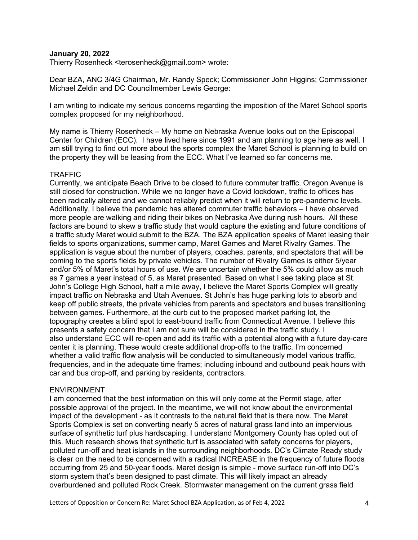### **January 20, 2022**

Thierry Rosenheck <terosenheck@gmail.com> wrote:

Dear BZA, ANC 3/4G Chairman, Mr. Randy Speck; Commissioner John Higgins; Commissioner Michael Zeldin and DC Councilmember Lewis George:

I am writing to indicate my serious concerns regarding the imposition of the Maret School sports complex proposed for my neighborhood.

My name is Thierry Rosenheck – My home on Nebraska Avenue looks out on the Episcopal Center for Children (ECC). I have lived here since 1991 and am planning to age here as well. I am still trying to find out more about the sports complex the Maret School is planning to build on the property they will be leasing from the ECC. What I've learned so far concerns me.

#### TRAFFIC

Currently, we anticipate Beach Drive to be closed to future commuter traffic. Oregon Avenue is still closed for construction. While we no longer have a Covid lockdown, traffic to offices has been radically altered and we cannot reliably predict when it will return to pre-pandemic levels. Additionally, I believe the pandemic has altered commuter traffic behaviors – I have observed more people are walking and riding their bikes on Nebraska Ave during rush hours. All these factors are bound to skew a traffic study that would capture the existing and future conditions of a traffic study Maret would submit to the BZA. The BZA application speaks of Maret leasing their fields to sports organizations, summer camp, Maret Games and Maret Rivalry Games. The application is vague about the number of players, coaches, parents, and spectators that will be coming to the sports fields by private vehicles. The number of Rivalry Games is either 5/year and/or 5% of Maret's total hours of use. We are uncertain whether the 5% could allow as much as 7 games a year instead of 5, as Maret presented. Based on what I see taking place at St. John's College High School, half a mile away, I believe the Maret Sports Complex will greatly impact traffic on Nebraska and Utah Avenues. St John's has huge parking lots to absorb and keep off public streets, the private vehicles from parents and spectators and buses transitioning between games. Furthermore, at the curb cut to the proposed market parking lot, the topography creates a blind spot to east-bound traffic from Connecticut Avenue. I believe this presents a safety concern that I am not sure will be considered in the traffic study. I also understand ECC will re-open and add its traffic with a potential along with a future day-care center it is planning. These would create additional drop-offs to the traffic. I'm concerned whether a valid traffic flow analysis will be conducted to simultaneously model various traffic, frequencies, and in the adequate time frames; including inbound and outbound peak hours with car and bus drop-off, and parking by residents, contractors.

#### ENVIRONMENT

I am concerned that the best information on this will only come at the Permit stage, after possible approval of the project. In the meantime, we will not know about the environmental impact of the development - as it contrasts to the natural field that is there now. The Maret Sports Complex is set on converting nearly 5 acres of natural grass land into an impervious surface of synthetic turf plus hardscaping. I understand Montgomery County has opted out of this. Much research shows that synthetic turf is associated with safety concerns for players, polluted run-off and heat islands in the surrounding neighborhoods. DC's Climate Ready study is clear on the need to be concerned with a radical INCREASE in the frequency of future floods occurring from 25 and 50-year floods. Maret design is simple - move surface run-off into DC's storm system that's been designed to past climate. This will likely impact an already overburdened and polluted Rock Creek. Stormwater management on the current grass field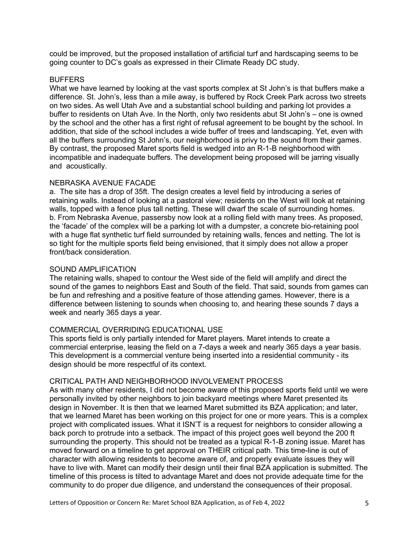could be improved, but the proposed installation of artificial turf and hardscaping seems to be going counter to DC's goals as expressed in their Climate Ready DC study.

### **BUFFERS**

What we have learned by looking at the vast sports complex at St John's is that buffers make a difference. St. John's, less than a mile away, is buffered by Rock Creek Park across two streets on two sides. As well Utah Ave and a substantial school building and parking lot provides a buffer to residents on Utah Ave. In the North, only two residents abut St John's – one is owned by the school and the other has a first right of refusal agreement to be bought by the school. In addition, that side of the school includes a wide buffer of trees and landscaping. Yet, even with all the buffers surrounding St John's, our neighborhood is privy to the sound from their games. By contrast, the proposed Maret sports field is wedged into an R-1-B neighborhood with incompatible and inadequate buffers. The development being proposed will be jarring visually and acoustically.

## NEBRASKA AVENUE FACADE

a. The site has a drop of 35ft. The design creates a level field by introducing a series of retaining walls. Instead of looking at a pastoral view; residents on the West will look at retaining walls, topped with a fence plus tall netting. These will dwarf the scale of surrounding homes. b. From Nebraska Avenue, passersby now look at a rolling field with many trees. As proposed, the 'facade' of the complex will be a parking lot with a dumpster, a concrete bio-retaining pool with a huge flat synthetic turf field surrounded by retaining walls, fences and netting. The lot is so tight for the multiple sports field being envisioned, that it simply does not allow a proper front/back consideration.

### SOUND AMPLIFICATION

The retaining walls, shaped to contour the West side of the field will amplify and direct the sound of the games to neighbors East and South of the field. That said, sounds from games can be fun and refreshing and a positive feature of those attending games. However, there is a difference between listening to sounds when choosing to, and hearing these sounds 7 days a week and nearly 365 days a year.

# COMMERCIAL OVERRIDING EDUCATIONAL USE

This sports field is only partially intended for Maret players. Maret intends to create a commercial enterprise, leasing the field on a 7-days a week and nearly 365 days a year basis. This development is a commercial venture being inserted into a residential community - its design should be more respectful of its context.

# CRITICAL PATH AND NEIGHBORHOOD INVOLVEMENT PROCESS

As with many other residents, I did not become aware of this proposed sports field until we were personally invited by other neighbors to join backyard meetings where Maret presented its design in November. It is then that we learned Maret submitted its BZA application; and later, that we learned Maret has been working on this project for one or more years. This is a complex project with complicated issues. What it ISN'T is a request for neighbors to consider allowing a back porch to protrude into a setback. The impact of this project goes well beyond the 200 ft surrounding the property. This should not be treated as a typical R-1-B zoning issue. Maret has moved forward on a timeline to get approval on THEIR critical path. This time-line is out of character with allowing residents to become aware of, and properly evaluate issues they will have to live with. Maret can modify their design until their final BZA application is submitted. The timeline of this process is tilted to advantage Maret and does not provide adequate time for the community to do proper due diligence, and understand the consequences of their proposal.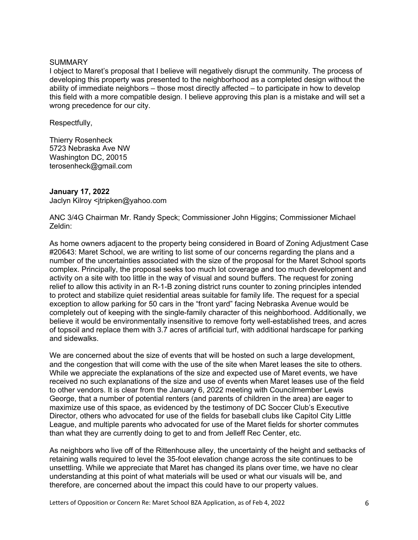#### **SUMMARY**

I object to Maret's proposal that I believe will negatively disrupt the community. The process of developing this property was presented to the neighborhood as a completed design without the ability of immediate neighbors – those most directly affected – to participate in how to develop this field with a more compatible design. I believe approving this plan is a mistake and will set a wrong precedence for our city.

Respectfully,

Thierry Rosenheck 5723 Nebraska Ave NW Washington DC, 20015 terosenheck@gmail.com

### **January 17, 2022**

Jaclyn Kilroy <jtripken@yahoo.com

ANC 3/4G Chairman Mr. Randy Speck; Commissioner John Higgins; Commissioner Michael Zeldin:

As home owners adjacent to the property being considered in Board of Zoning Adjustment Case #20643: Maret School, we are writing to list some of our concerns regarding the plans and a number of the uncertainties associated with the size of the proposal for the Maret School sports complex. Principally, the proposal seeks too much lot coverage and too much development and activity on a site with too little in the way of visual and sound buffers. The request for zoning relief to allow this activity in an R-1-B zoning district runs counter to zoning principles intended to protect and stabilize quiet residential areas suitable for family life. The request for a special exception to allow parking for 50 cars in the "front yard" facing Nebraska Avenue would be completely out of keeping with the single-family character of this neighborhood. Additionally, we believe it would be environmentally insensitive to remove forty well-established trees, and acres of topsoil and replace them with 3.7 acres of artificial turf, with additional hardscape for parking and sidewalks.

We are concerned about the size of events that will be hosted on such a large development, and the congestion that will come with the use of the site when Maret leases the site to others. While we appreciate the explanations of the size and expected use of Maret events, we have received no such explanations of the size and use of events when Maret leases use of the field to other vendors. It is clear from the January 6, 2022 meeting with Councilmember Lewis George, that a number of potential renters (and parents of children in the area) are eager to maximize use of this space, as evidenced by the testimony of DC Soccer Club's Executive Director, others who advocated for use of the fields for baseball clubs like Capitol City Little League, and multiple parents who advocated for use of the Maret fields for shorter commutes than what they are currently doing to get to and from Jelleff Rec Center, etc.

As neighbors who live off of the Rittenhouse alley, the uncertainty of the height and setbacks of retaining walls required to level the 35-foot elevation change across the site continues to be unsettling. While we appreciate that Maret has changed its plans over time, we have no clear understanding at this point of what materials will be used or what our visuals will be, and therefore, are concerned about the impact this could have to our property values.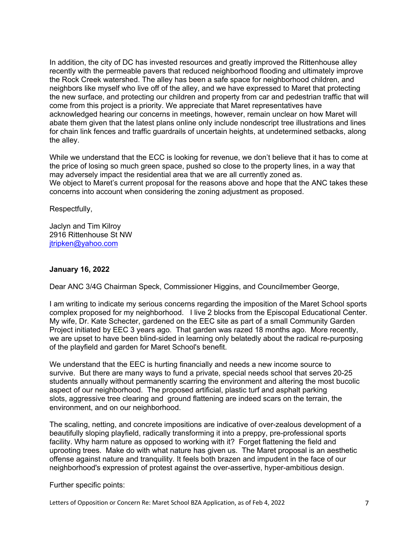In addition, the city of DC has invested resources and greatly improved the Rittenhouse alley recently with the permeable pavers that reduced neighborhood flooding and ultimately improve the Rock Creek watershed. The alley has been a safe space for neighborhood children, and neighbors like myself who live off of the alley, and we have expressed to Maret that protecting the new surface, and protecting our children and property from car and pedestrian traffic that will come from this project is a priority. We appreciate that Maret representatives have acknowledged hearing our concerns in meetings, however, remain unclear on how Maret will abate them given that the latest plans online only include nondescript tree illustrations and lines for chain link fences and traffic guardrails of uncertain heights, at undetermined setbacks, along the alley.

While we understand that the ECC is looking for revenue, we don't believe that it has to come at the price of losing so much green space, pushed so close to the property lines, in a way that may adversely impact the residential area that we are all currently zoned as. We object to Maret's current proposal for the reasons above and hope that the ANC takes these concerns into account when considering the zoning adjustment as proposed.

Respectfully,

Jaclyn and Tim Kilroy 2916 Rittenhouse St NW jtripken@yahoo.com

## **January 16, 2022**

Dear ANC 3/4G Chairman Speck, Commissioner Higgins, and Councilmember George,

I am writing to indicate my serious concerns regarding the imposition of the Maret School sports complex proposed for my neighborhood. I live 2 blocks from the Episcopal Educational Center. My wife, Dr. Kate Schecter, gardened on the EEC site as part of a small Community Garden Project initiated by EEC 3 years ago. That garden was razed 18 months ago. More recently, we are upset to have been blind-sided in learning only belatedly about the radical re-purposing of the playfield and garden for Maret School's benefit.

We understand that the EEC is hurting financially and needs a new income source to survive. But there are many ways to fund a private, special needs school that serves 20-25 students annually without permanently scarring the environment and altering the most bucolic aspect of our neighborhood. The proposed artificial, plastic turf and asphalt parking slots, aggressive tree clearing and ground flattening are indeed scars on the terrain, the environment, and on our neighborhood.

The scaling, netting, and concrete impositions are indicative of over-zealous development of a beautifully sloping playfield, radically transforming it into a preppy, pre-professional sports facility. Why harm nature as opposed to working with it? Forget flattening the field and uprooting trees. Make do with what nature has given us. The Maret proposal is an aesthetic offense against nature and tranquility. It feels both brazen and impudent in the face of our neighborhood's expression of protest against the over-assertive, hyper-ambitious design.

Further specific points: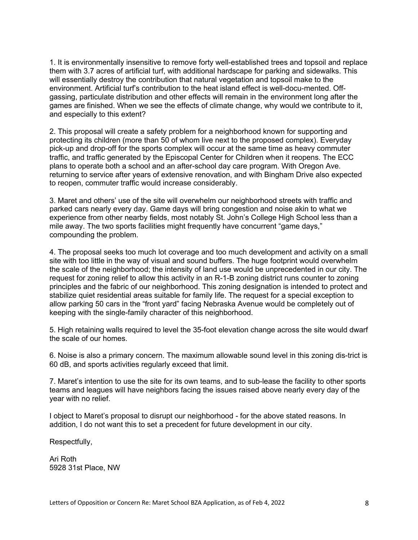1. It is environmentally insensitive to remove forty well-established trees and topsoil and replace them with 3.7 acres of artificial turf, with additional hardscape for parking and sidewalks. This will essentially destroy the contribution that natural vegetation and topsoil make to the environment. Artificial turf's contribution to the heat island effect is well-docu-mented. Offgassing, particulate distribution and other effects will remain in the environment long after the games are finished. When we see the effects of climate change, why would we contribute to it, and especially to this extent?

2. This proposal will create a safety problem for a neighborhood known for supporting and protecting its children (more than 50 of whom live next to the proposed complex). Everyday pick-up and drop-off for the sports complex will occur at the same time as heavy commuter traffic, and traffic generated by the Episcopal Center for Children when it reopens. The ECC plans to operate both a school and an after-school day care program. With Oregon Ave. returning to service after years of extensive renovation, and with Bingham Drive also expected to reopen, commuter traffic would increase considerably.

3. Maret and others' use of the site will overwhelm our neighborhood streets with traffic and parked cars nearly every day. Game days will bring congestion and noise akin to what we experience from other nearby fields, most notably St. John's College High School less than a mile away. The two sports facilities might frequently have concurrent "game days," compounding the problem.

4. The proposal seeks too much lot coverage and too much development and activity on a small site with too little in the way of visual and sound buffers. The huge footprint would overwhelm the scale of the neighborhood; the intensity of land use would be unprecedented in our city. The request for zoning relief to allow this activity in an R-1-B zoning district runs counter to zoning principles and the fabric of our neighborhood. This zoning designation is intended to protect and stabilize quiet residential areas suitable for family life. The request for a special exception to allow parking 50 cars in the "front yard" facing Nebraska Avenue would be completely out of keeping with the single-family character of this neighborhood.

5. High retaining walls required to level the 35-foot elevation change across the site would dwarf the scale of our homes.

6. Noise is also a primary concern. The maximum allowable sound level in this zoning dis-trict is 60 dB, and sports activities regularly exceed that limit.

7. Maret's intention to use the site for its own teams, and to sub-lease the facility to other sports teams and leagues will have neighbors facing the issues raised above nearly every day of the year with no relief.

I object to Maret's proposal to disrupt our neighborhood - for the above stated reasons. In addition, I do not want this to set a precedent for future development in our city.

Respectfully,

Ari Roth 5928 31st Place, NW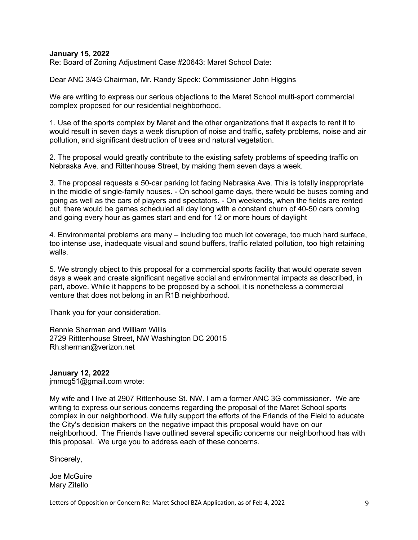#### **January 15, 2022**

Re: Board of Zoning Adjustment Case #20643: Maret School Date:

Dear ANC 3/4G Chairman, Mr. Randy Speck: Commissioner John Higgins

We are writing to express our serious objections to the Maret School multi-sport commercial complex proposed for our residential neighborhood.

1. Use of the sports complex by Maret and the other organizations that it expects to rent it to would result in seven days a week disruption of noise and traffic, safety problems, noise and air pollution, and significant destruction of trees and natural vegetation.

2. The proposal would greatly contribute to the existing safety problems of speeding traffic on Nebraska Ave. and Rittenhouse Street, by making them seven days a week.

3. The proposal requests a 50-car parking lot facing Nebraska Ave. This is totally inappropriate in the middle of single-family houses. - On school game days, there would be buses coming and going as well as the cars of players and spectators. - On weekends, when the fields are rented out, there would be games scheduled all day long with a constant churn of 40-50 cars coming and going every hour as games start and end for 12 or more hours of daylight

4. Environmental problems are many – including too much lot coverage, too much hard surface, too intense use, inadequate visual and sound buffers, traffic related pollution, too high retaining walls.

5. We strongly object to this proposal for a commercial sports facility that would operate seven days a week and create significant negative social and environmental impacts as described, in part, above. While it happens to be proposed by a school, it is nonetheless a commercial venture that does not belong in an R1B neighborhood.

Thank you for your consideration.

Rennie Sherman and William Willis 2729 Ritttenhouse Street, NW Washington DC 20015 Rh.sherman@verizon.net

### **January 12, 2022**

jmmcg51@gmail.com wrote:

My wife and I live at 2907 Rittenhouse St. NW. I am a former ANC 3G commissioner. We are writing to express our serious concerns regarding the proposal of the Maret School sports complex in our neighborhood. We fully support the efforts of the Friends of the Field to educate the City's decision makers on the negative impact this proposal would have on our neighborhood. The Friends have outlined several specific concerns our neighborhood has with this proposal. We urge you to address each of these concerns.

Sincerely,

Joe McGuire Mary Zitello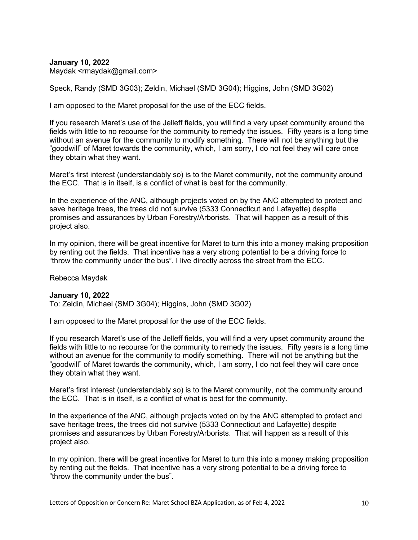**January 10, 2022** Maydak <rmaydak@gmail.com>

Speck, Randy (SMD 3G03); Zeldin, Michael (SMD 3G04); Higgins, John (SMD 3G02)

I am opposed to the Maret proposal for the use of the ECC fields.

If you research Maret's use of the Jelleff fields, you will find a very upset community around the fields with little to no recourse for the community to remedy the issues. Fifty years is a long time without an avenue for the community to modify something. There will not be anything but the "goodwill" of Maret towards the community, which, I am sorry, I do not feel they will care once they obtain what they want.

Maret's first interest (understandably so) is to the Maret community, not the community around the ECC. That is in itself, is a conflict of what is best for the community.

In the experience of the ANC, although projects voted on by the ANC attempted to protect and save heritage trees, the trees did not survive (5333 Connecticut and Lafayette) despite promises and assurances by Urban Forestry/Arborists. That will happen as a result of this project also.

In my opinion, there will be great incentive for Maret to turn this into a money making proposition by renting out the fields. That incentive has a very strong potential to be a driving force to "throw the community under the bus". I live directly across the street from the ECC.

Rebecca Maydak

### **January 10, 2022**

To: Zeldin, Michael (SMD 3G04); Higgins, John (SMD 3G02)

I am opposed to the Maret proposal for the use of the ECC fields.

If you research Maret's use of the Jelleff fields, you will find a very upset community around the fields with little to no recourse for the community to remedy the issues. Fifty years is a long time without an avenue for the community to modify something. There will not be anything but the "goodwill" of Maret towards the community, which, I am sorry, I do not feel they will care once they obtain what they want.

Maret's first interest (understandably so) is to the Maret community, not the community around the ECC. That is in itself, is a conflict of what is best for the community.

In the experience of the ANC, although projects voted on by the ANC attempted to protect and save heritage trees, the trees did not survive (5333 Connecticut and Lafayette) despite promises and assurances by Urban Forestry/Arborists. That will happen as a result of this project also.

In my opinion, there will be great incentive for Maret to turn this into a money making proposition by renting out the fields. That incentive has a very strong potential to be a driving force to "throw the community under the bus".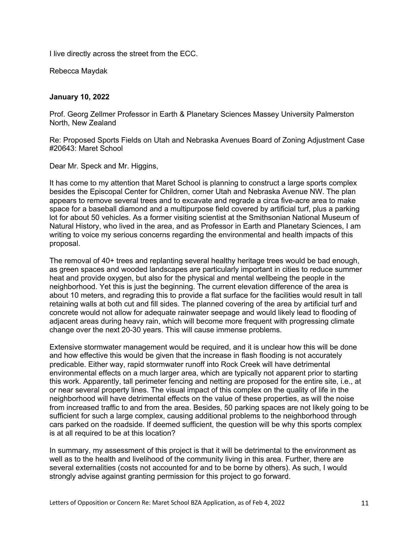I live directly across the street from the ECC.

Rebecca Maydak

# **January 10, 2022**

Prof. Georg Zellmer Professor in Earth & Planetary Sciences Massey University Palmerston North, New Zealand

Re: Proposed Sports Fields on Utah and Nebraska Avenues Board of Zoning Adjustment Case #20643: Maret School

Dear Mr. Speck and Mr. Higgins,

It has come to my attention that Maret School is planning to construct a large sports complex besides the Episcopal Center for Children, corner Utah and Nebraska Avenue NW. The plan appears to remove several trees and to excavate and regrade a circa five-acre area to make space for a baseball diamond and a multipurpose field covered by artificial turf, plus a parking lot for about 50 vehicles. As a former visiting scientist at the Smithsonian National Museum of Natural History, who lived in the area, and as Professor in Earth and Planetary Sciences, I am writing to voice my serious concerns regarding the environmental and health impacts of this proposal.

The removal of 40+ trees and replanting several healthy heritage trees would be bad enough, as green spaces and wooded landscapes are particularly important in cities to reduce summer heat and provide oxygen, but also for the physical and mental wellbeing the people in the neighborhood. Yet this is just the beginning. The current elevation difference of the area is about 10 meters, and regrading this to provide a flat surface for the facilities would result in tall retaining walls at both cut and fill sides. The planned covering of the area by artificial turf and concrete would not allow for adequate rainwater seepage and would likely lead to flooding of adjacent areas during heavy rain, which will become more frequent with progressing climate change over the next 20-30 years. This will cause immense problems.

Extensive stormwater management would be required, and it is unclear how this will be done and how effective this would be given that the increase in flash flooding is not accurately predicable. Either way, rapid stormwater runoff into Rock Creek will have detrimental environmental effects on a much larger area, which are typically not apparent prior to starting this work. Apparently, tall perimeter fencing and netting are proposed for the entire site, i.e., at or near several property lines. The visual impact of this complex on the quality of life in the neighborhood will have detrimental effects on the value of these properties, as will the noise from increased traffic to and from the area. Besides, 50 parking spaces are not likely going to be sufficient for such a large complex, causing additional problems to the neighborhood through cars parked on the roadside. If deemed sufficient, the question will be why this sports complex is at all required to be at this location?

In summary, my assessment of this project is that it will be detrimental to the environment as well as to the health and livelihood of the community living in this area. Further, there are several externalities (costs not accounted for and to be borne by others). As such, I would strongly advise against granting permission for this project to go forward.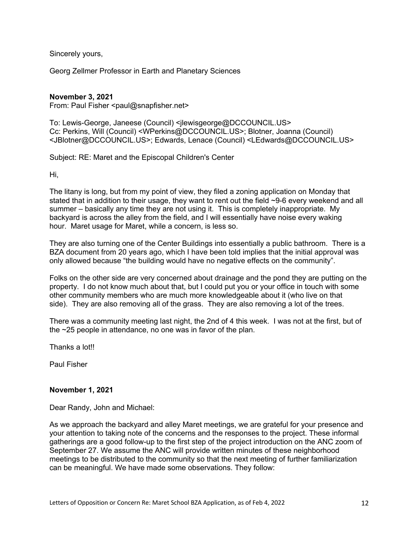Sincerely yours,

Georg Zellmer Professor in Earth and Planetary Sciences

## **November 3, 2021**

From: Paul Fisher <paul@snapfisher.net>

To: Lewis-George, Janeese (Council) <jlewisgeorge@DCCOUNCIL.US> Cc: Perkins, Will (Council) <WPerkins@DCCOUNCIL.US>; Blotner, Joanna (Council) <JBlotner@DCCOUNCIL.US>; Edwards, Lenace (Council) <LEdwards@DCCOUNCIL.US>

Subject: RE: Maret and the Episcopal Children's Center

Hi,

The litany is long, but from my point of view, they filed a zoning application on Monday that stated that in addition to their usage, they want to rent out the field ~9-6 every weekend and all summer – basically any time they are not using it. This is completely inappropriate. My backyard is across the alley from the field, and I will essentially have noise every waking hour. Maret usage for Maret, while a concern, is less so.

They are also turning one of the Center Buildings into essentially a public bathroom. There is a BZA document from 20 years ago, which I have been told implies that the initial approval was only allowed because "the building would have no negative effects on the community".

Folks on the other side are very concerned about drainage and the pond they are putting on the property. I do not know much about that, but I could put you or your office in touch with some other community members who are much more knowledgeable about it (who live on that side). They are also removing all of the grass. They are also removing a lot of the trees.

There was a community meeting last night, the 2nd of 4 this week. I was not at the first, but of the ~25 people in attendance, no one was in favor of the plan.

Thanks a lot!!

Paul Fisher

# **November 1, 2021**

Dear Randy, John and Michael:

As we approach the backyard and alley Maret meetings, we are grateful for your presence and your attention to taking note of the concerns and the responses to the project. These informal gatherings are a good follow-up to the first step of the project introduction on the ANC zoom of September 27. We assume the ANC will provide written minutes of these neighborhood meetings to be distributed to the community so that the next meeting of further familiarization can be meaningful. We have made some observations. They follow: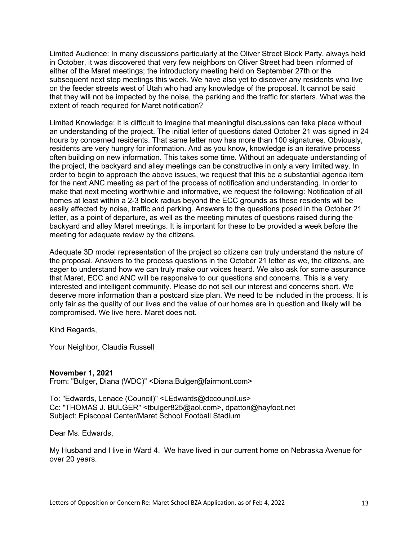Limited Audience: In many discussions particularly at the Oliver Street Block Party, always held in October, it was discovered that very few neighbors on Oliver Street had been informed of either of the Maret meetings; the introductory meeting held on September 27th or the subsequent next step meetings this week. We have also yet to discover any residents who live on the feeder streets west of Utah who had any knowledge of the proposal. It cannot be said that they will not be impacted by the noise, the parking and the traffic for starters. What was the extent of reach required for Maret notification?

Limited Knowledge: It is difficult to imagine that meaningful discussions can take place without an understanding of the project. The initial letter of questions dated October 21 was signed in 24 hours by concerned residents. That same letter now has more than 100 signatures. Obviously, residents are very hungry for information. And as you know, knowledge is an iterative process often building on new information. This takes some time. Without an adequate understanding of the project, the backyard and alley meetings can be constructive in only a very limited way. In order to begin to approach the above issues, we request that this be a substantial agenda item for the next ANC meeting as part of the process of notification and understanding. In order to make that next meeting worthwhile and informative, we request the following: Notification of all homes at least within a 2-3 block radius beyond the ECC grounds as these residents will be easily affected by noise, traffic and parking. Answers to the questions posed in the October 21 letter, as a point of departure, as well as the meeting minutes of questions raised during the backyard and alley Maret meetings. It is important for these to be provided a week before the meeting for adequate review by the citizens.

Adequate 3D model representation of the project so citizens can truly understand the nature of the proposal. Answers to the process questions in the October 21 letter as we, the citizens, are eager to understand how we can truly make our voices heard. We also ask for some assurance that Maret, ECC and ANC will be responsive to our questions and concerns. This is a very interested and intelligent community. Please do not sell our interest and concerns short. We deserve more information than a postcard size plan. We need to be included in the process. It is only fair as the quality of our lives and the value of our homes are in question and likely will be compromised. We live here. Maret does not.

Kind Regards,

Your Neighbor, Claudia Russell

### **November 1, 2021**

From: "Bulger, Diana (WDC)" <Diana.Bulger@fairmont.com>

To: "Edwards, Lenace (Council)" <LEdwards@dccouncil.us> Cc: "THOMAS J. BULGER" <tbulger825@aol.com>, dpatton@hayfoot.net Subject: Episcopal Center/Maret School Football Stadium

Dear Ms. Edwards,

My Husband and I live in Ward 4. We have lived in our current home on Nebraska Avenue for over 20 years.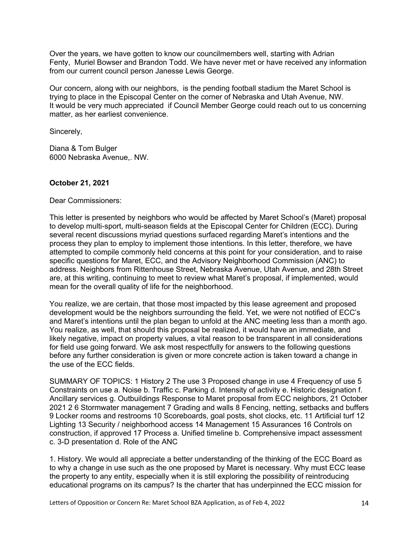Over the years, we have gotten to know our councilmembers well, starting with Adrian Fenty, Muriel Bowser and Brandon Todd. We have never met or have received any information from our current council person Janesse Lewis George.

Our concern, along with our neighbors, is the pending football stadium the Maret School is trying to place in the Episcopal Center on the corner of Nebraska and Utah Avenue, NW. It would be very much appreciated if Council Member George could reach out to us concerning matter, as her earliest convenience.

Sincerely,

Diana & Tom Bulger 6000 Nebraska Avenue,. NW.

# **October 21, 2021**

Dear Commissioners:

This letter is presented by neighbors who would be affected by Maret School's (Maret) proposal to develop multi-sport, multi-season fields at the Episcopal Center for Children (ECC). During several recent discussions myriad questions surfaced regarding Maret's intentions and the process they plan to employ to implement those intentions. In this letter, therefore, we have attempted to compile commonly held concerns at this point for your consideration, and to raise specific questions for Maret, ECC, and the Advisory Neighborhood Commission (ANC) to address. Neighbors from Rittenhouse Street, Nebraska Avenue, Utah Avenue, and 28th Street are, at this writing, continuing to meet to review what Maret's proposal, if implemented, would mean for the overall quality of life for the neighborhood.

You realize, we are certain, that those most impacted by this lease agreement and proposed development would be the neighbors surrounding the field. Yet, we were not notified of ECC's and Maret's intentions until the plan began to unfold at the ANC meeting less than a month ago. You realize, as well, that should this proposal be realized, it would have an immediate, and likely negative, impact on property values, a vital reason to be transparent in all considerations for field use going forward. We ask most respectfully for answers to the following questions before any further consideration is given or more concrete action is taken toward a change in the use of the ECC fields.

SUMMARY OF TOPICS: 1 History 2 The use 3 Proposed change in use 4 Frequency of use 5 Constraints on use a. Noise b. Traffic c. Parking d. Intensity of activity e. Historic designation f. Ancillary services g. Outbuildings Response to Maret proposal from ECC neighbors, 21 October 2021 2 6 Stormwater management 7 Grading and walls 8 Fencing, netting, setbacks and buffers 9 Locker rooms and restrooms 10 Scoreboards, goal posts, shot clocks, etc. 11 Artificial turf 12 Lighting 13 Security / neighborhood access 14 Management 15 Assurances 16 Controls on construction, if approved 17 Process a. Unified timeline b. Comprehensive impact assessment c. 3-D presentation d. Role of the ANC

1. History. We would all appreciate a better understanding of the thinking of the ECC Board as to why a change in use such as the one proposed by Maret is necessary. Why must ECC lease the property to any entity, especially when it is still exploring the possibility of reintroducing educational programs on its campus? Is the charter that has underpinned the ECC mission for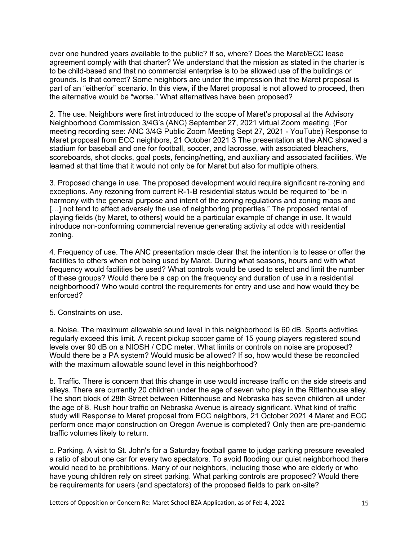over one hundred years available to the public? If so, where? Does the Maret/ECC lease agreement comply with that charter? We understand that the mission as stated in the charter is to be child-based and that no commercial enterprise is to be allowed use of the buildings or grounds. Is that correct? Some neighbors are under the impression that the Maret proposal is part of an "either/or" scenario. In this view, if the Maret proposal is not allowed to proceed, then the alternative would be "worse." What alternatives have been proposed?

2. The use. Neighbors were first introduced to the scope of Maret's proposal at the Advisory Neighborhood Commission 3/4G's (ANC) September 27, 2021 virtual Zoom meeting. (For meeting recording see: ANC 3/4G Public Zoom Meeting Sept 27, 2021 - YouTube) Response to Maret proposal from ECC neighbors, 21 October 2021 3 The presentation at the ANC showed a stadium for baseball and one for football, soccer, and lacrosse, with associated bleachers, scoreboards, shot clocks, goal posts, fencing/netting, and auxiliary and associated facilities. We learned at that time that it would not only be for Maret but also for multiple others.

3. Proposed change in use. The proposed development would require significant re-zoning and exceptions. Any rezoning from current R-1-B residential status would be required to "be in harmony with the general purpose and intent of the zoning regulations and zoning maps and [...] not tend to affect adversely the use of neighboring properties." The proposed rental of playing fields (by Maret, to others) would be a particular example of change in use. It would introduce non-conforming commercial revenue generating activity at odds with residential zoning.

4. Frequency of use. The ANC presentation made clear that the intention is to lease or offer the facilities to others when not being used by Maret. During what seasons, hours and with what frequency would facilities be used? What controls would be used to select and limit the number of these groups? Would there be a cap on the frequency and duration of use in a residential neighborhood? Who would control the requirements for entry and use and how would they be enforced?

### 5. Constraints on use.

a. Noise. The maximum allowable sound level in this neighborhood is 60 dB. Sports activities regularly exceed this limit. A recent pickup soccer game of 15 young players registered sound levels over 90 dB on a NIOSH / CDC meter. What limits or controls on noise are proposed? Would there be a PA system? Would music be allowed? If so, how would these be reconciled with the maximum allowable sound level in this neighborhood?

b. Traffic. There is concern that this change in use would increase traffic on the side streets and alleys. There are currently 20 children under the age of seven who play in the Rittenhouse alley. The short block of 28th Street between Rittenhouse and Nebraska has seven children all under the age of 8. Rush hour traffic on Nebraska Avenue is already significant. What kind of traffic study will Response to Maret proposal from ECC neighbors, 21 October 2021 4 Maret and ECC perform once major construction on Oregon Avenue is completed? Only then are pre-pandemic traffic volumes likely to return.

c. Parking. A visit to St. John's for a Saturday football game to judge parking pressure revealed a ratio of about one car for every two spectators. To avoid flooding our quiet neighborhood there would need to be prohibitions. Many of our neighbors, including those who are elderly or who have young children rely on street parking. What parking controls are proposed? Would there be requirements for users (and spectators) of the proposed fields to park on-site?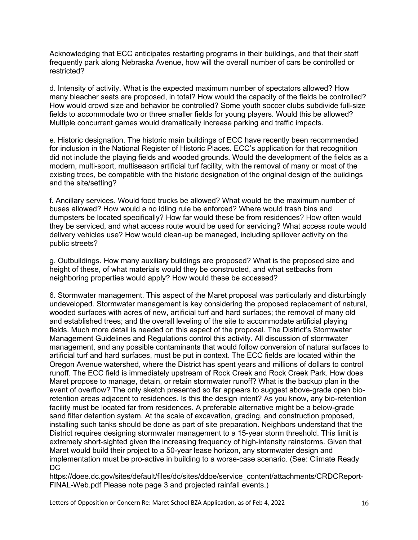Acknowledging that ECC anticipates restarting programs in their buildings, and that their staff frequently park along Nebraska Avenue, how will the overall number of cars be controlled or restricted?

d. Intensity of activity. What is the expected maximum number of spectators allowed? How many bleacher seats are proposed, in total? How would the capacity of the fields be controlled? How would crowd size and behavior be controlled? Some youth soccer clubs subdivide full-size fields to accommodate two or three smaller fields for young players. Would this be allowed? Multiple concurrent games would dramatically increase parking and traffic impacts.

e. Historic designation. The historic main buildings of ECC have recently been recommended for inclusion in the National Register of Historic Places. ECC's application for that recognition did not include the playing fields and wooded grounds. Would the development of the fields as a modern, multi-sport, multiseason artificial turf facility, with the removal of many or most of the existing trees, be compatible with the historic designation of the original design of the buildings and the site/setting?

f. Ancillary services. Would food trucks be allowed? What would be the maximum number of buses allowed? How would a no idling rule be enforced? Where would trash bins and dumpsters be located specifically? How far would these be from residences? How often would they be serviced, and what access route would be used for servicing? What access route would delivery vehicles use? How would clean-up be managed, including spillover activity on the public streets?

g. Outbuildings. How many auxiliary buildings are proposed? What is the proposed size and height of these, of what materials would they be constructed, and what setbacks from neighboring properties would apply? How would these be accessed?

6. Stormwater management. This aspect of the Maret proposal was particularly and disturbingly undeveloped. Stormwater management is key considering the proposed replacement of natural, wooded surfaces with acres of new, artificial turf and hard surfaces; the removal of many old and established trees; and the overall leveling of the site to accommodate artificial playing fields. Much more detail is needed on this aspect of the proposal. The District's Stormwater Management Guidelines and Regulations control this activity. All discussion of stormwater management, and any possible contaminants that would follow conversion of natural surfaces to artificial turf and hard surfaces, must be put in context. The ECC fields are located within the Oregon Avenue watershed, where the District has spent years and millions of dollars to control runoff. The ECC field is immediately upstream of Rock Creek and Rock Creek Park. How does Maret propose to manage, detain, or retain stormwater runoff? What is the backup plan in the event of overflow? The only sketch presented so far appears to suggest above-grade open bioretention areas adjacent to residences. Is this the design intent? As you know, any bio-retention facility must be located far from residences. A preferable alternative might be a below-grade sand filter detention system. At the scale of excavation, grading, and construction proposed, installing such tanks should be done as part of site preparation. Neighbors understand that the District requires designing stormwater management to a 15-year storm threshold. This limit is extremely short-sighted given the increasing frequency of high-intensity rainstorms. Given that Maret would build their project to a 50-year lease horizon, any stormwater design and implementation must be pro-active in building to a worse-case scenario. (See: Climate Ready DC

https://doee.dc.gov/sites/default/files/dc/sites/ddoe/service\_content/attachments/CRDCReport-FINAL-Web.pdf Please note page 3 and projected rainfall events.)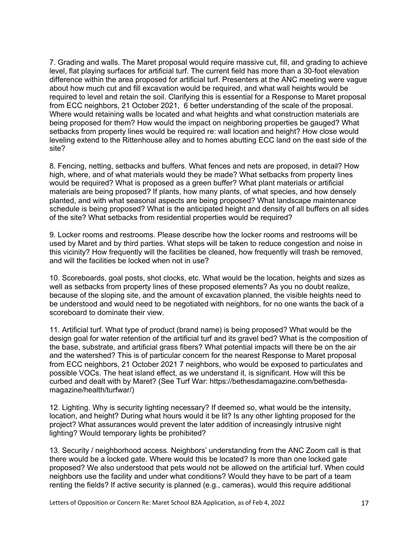7. Grading and walls. The Maret proposal would require massive cut, fill, and grading to achieve level, flat playing surfaces for artificial turf. The current field has more than a 30-foot elevation difference within the area proposed for artificial turf. Presenters at the ANC meeting were vague about how much cut and fill excavation would be required, and what wall heights would be required to level and retain the soil. Clarifying this is essential for a Response to Maret proposal from ECC neighbors, 21 October 2021, 6 better understanding of the scale of the proposal. Where would retaining walls be located and what heights and what construction materials are being proposed for them? How would the impact on neighboring properties be gauged? What setbacks from property lines would be required re: wall location and height? How close would leveling extend to the Rittenhouse alley and to homes abutting ECC land on the east side of the site?

8. Fencing, netting, setbacks and buffers. What fences and nets are proposed, in detail? How high, where, and of what materials would they be made? What setbacks from property lines would be required? What is proposed as a green buffer? What plant materials or artificial materials are being proposed? If plants, how many plants, of what species, and how densely planted, and with what seasonal aspects are being proposed? What landscape maintenance schedule is being proposed? What is the anticipated height and density of all buffers on all sides of the site? What setbacks from residential properties would be required?

9. Locker rooms and restrooms. Please describe how the locker rooms and restrooms will be used by Maret and by third parties. What steps will be taken to reduce congestion and noise in this vicinity? How frequently will the facilities be cleaned, how frequently will trash be removed, and will the facilities be locked when not in use?

10. Scoreboards, goal posts, shot clocks, etc. What would be the location, heights and sizes as well as setbacks from property lines of these proposed elements? As you no doubt realize, because of the sloping site, and the amount of excavation planned, the visible heights need to be understood and would need to be negotiated with neighbors, for no one wants the back of a scoreboard to dominate their view

11. Artificial turf. What type of product (brand name) is being proposed? What would be the design goal for water retention of the artificial turf and its gravel bed? What is the composition of the base, substrate, and artificial grass fibers? What potential impacts will there be on the air and the watershed? This is of particular concern for the nearest Response to Maret proposal from ECC neighbors, 21 October 2021 7 neighbors, who would be exposed to particulates and possible VOCs. The heat island effect, as we understand it, is significant. How will this be curbed and dealt with by Maret? (See Turf War: https://bethesdamagazine.com/bethesdamagazine/health/turfwar/)

12. Lighting. Why is security lighting necessary? If deemed so, what would be the intensity, location, and height? During what hours would it be lit? Is any other lighting proposed for the project? What assurances would prevent the later addition of increasingly intrusive night lighting? Would temporary lights be prohibited?

13. Security / neighborhood access. Neighbors' understanding from the ANC Zoom call is that there would be a locked gate. Where would this be located? Is more than one locked gate proposed? We also understood that pets would not be allowed on the artificial turf. When could neighbors use the facility and under what conditions? Would they have to be part of a team renting the fields? If active security is planned (e.g., cameras), would this require additional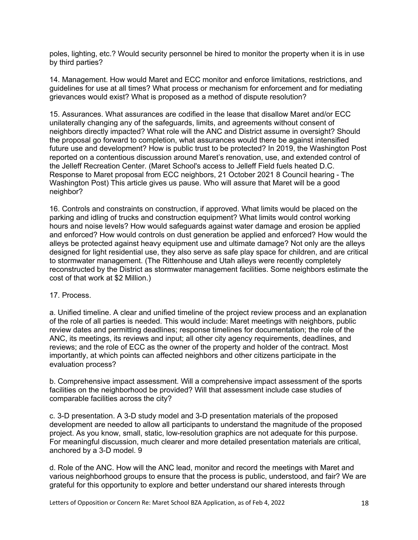poles, lighting, etc.? Would security personnel be hired to monitor the property when it is in use by third parties?

14. Management. How would Maret and ECC monitor and enforce limitations, restrictions, and guidelines for use at all times? What process or mechanism for enforcement and for mediating grievances would exist? What is proposed as a method of dispute resolution?

15. Assurances. What assurances are codified in the lease that disallow Maret and/or ECC unilaterally changing any of the safeguards, limits, and agreements without consent of neighbors directly impacted? What role will the ANC and District assume in oversight? Should the proposal go forward to completion, what assurances would there be against intensified future use and development? How is public trust to be protected? In 2019, the Washington Post reported on a contentious discussion around Maret's renovation, use, and extended control of the Jelleff Recreation Center. (Maret School's access to Jelleff Field fuels heated D.C. Response to Maret proposal from ECC neighbors, 21 October 2021 8 Council hearing - The Washington Post) This article gives us pause. Who will assure that Maret will be a good neighbor?

16. Controls and constraints on construction, if approved. What limits would be placed on the parking and idling of trucks and construction equipment? What limits would control working hours and noise levels? How would safeguards against water damage and erosion be applied and enforced? How would controls on dust generation be applied and enforced? How would the alleys be protected against heavy equipment use and ultimate damage? Not only are the alleys designed for light residential use, they also serve as safe play space for children, and are critical to stormwater management. (The Rittenhouse and Utah alleys were recently completely reconstructed by the District as stormwater management facilities. Some neighbors estimate the cost of that work at \$2 Million.)

# 17. Process.

a. Unified timeline. A clear and unified timeline of the project review process and an explanation of the role of all parties is needed. This would include: Maret meetings with neighbors, public review dates and permitting deadlines; response timelines for documentation; the role of the ANC, its meetings, its reviews and input; all other city agency requirements, deadlines, and reviews; and the role of ECC as the owner of the property and holder of the contract. Most importantly, at which points can affected neighbors and other citizens participate in the evaluation process?

b. Comprehensive impact assessment. Will a comprehensive impact assessment of the sports facilities on the neighborhood be provided? Will that assessment include case studies of comparable facilities across the city?

c. 3-D presentation. A 3-D study model and 3-D presentation materials of the proposed development are needed to allow all participants to understand the magnitude of the proposed project. As you know, small, static, low-resolution graphics are not adequate for this purpose. For meaningful discussion, much clearer and more detailed presentation materials are critical, anchored by a 3-D model. 9

d. Role of the ANC. How will the ANC lead, monitor and record the meetings with Maret and various neighborhood groups to ensure that the process is public, understood, and fair? We are grateful for this opportunity to explore and better understand our shared interests through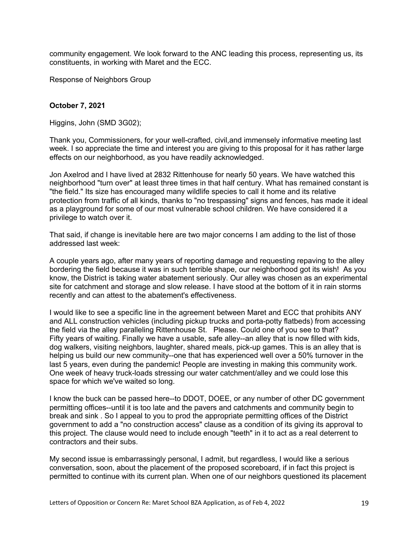community engagement. We look forward to the ANC leading this process, representing us, its constituents, in working with Maret and the ECC.

Response of Neighbors Group

## **October 7, 2021**

Higgins, John (SMD 3G02);

Thank you, Commissioners, for your well-crafted, civil,and immensely informative meeting last week. I so appreciate the time and interest you are giving to this proposal for it has rather large effects on our neighborhood, as you have readily acknowledged.

Jon Axelrod and I have lived at 2832 Rittenhouse for nearly 50 years. We have watched this neighborhood "turn over" at least three times in that half century. What has remained constant is "the field." Its size has encouraged many wildlife species to call it home and its relative protection from traffic of all kinds, thanks to "no trespassing" signs and fences, has made it ideal as a playground for some of our most vulnerable school children. We have considered it a privilege to watch over it.

That said, if change is inevitable here are two major concerns I am adding to the list of those addressed last week:

A couple years ago, after many years of reporting damage and requesting repaving to the alley bordering the field because it was in such terrible shape, our neighborhood got its wish! As you know, the District is taking water abatement seriously. Our alley was chosen as an experimental site for catchment and storage and slow release. I have stood at the bottom of it in rain storms recently and can attest to the abatement's effectiveness.

I would like to see a specific line in the agreement between Maret and ECC that prohibits ANY and ALL construction vehicles (including pickup trucks and porta-potty flatbeds) from accessing the field via the alley paralleling Rittenhouse St. Please. Could one of you see to that? Fifty years of waiting. Finally we have a usable, safe alley--an alley that is now filled with kids, dog walkers, visiting neighbors, laughter, shared meals, pick-up games. This is an alley that is helping us build our new community--one that has experienced well over a 50% turnover in the last 5 years, even during the pandemic! People are investing in making this community work. One week of heavy truck-loads stressing our water catchment/alley and we could lose this space for which we've waited so long.

I know the buck can be passed here--to DDOT, DOEE, or any number of other DC government permitting offices--until it is too late and the pavers and catchments and community begin to break and sink . So I appeal to you to prod the appropriate permitting offices of the District government to add a "no construction access" clause as a condition of its giving its approval to this project. The clause would need to include enough "teeth" in it to act as a real deterrent to contractors and their subs.

My second issue is embarrassingly personal, I admit, but regardless, I would like a serious conversation, soon, about the placement of the proposed scoreboard, if in fact this project is permitted to continue with its current plan. When one of our neighbors questioned its placement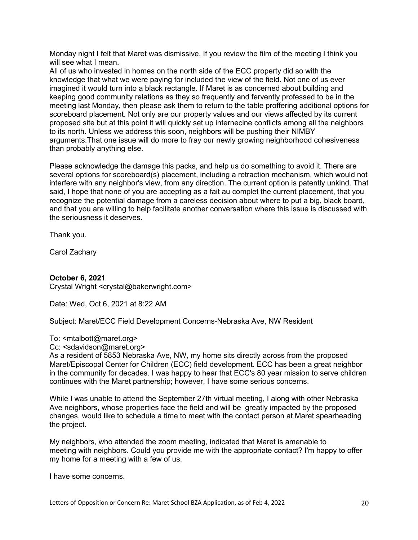Monday night I felt that Maret was dismissive. If you review the film of the meeting I think you will see what I mean.

All of us who invested in homes on the north side of the ECC property did so with the knowledge that what we were paying for included the view of the field. Not one of us ever imagined it would turn into a black rectangle. If Maret is as concerned about building and keeping good community relations as they so frequently and fervently professed to be in the meeting last Monday, then please ask them to return to the table proffering additional options for scoreboard placement. Not only are our property values and our views affected by its current proposed site but at this point it will quickly set up internecine conflicts among all the neighbors to its north. Unless we address this soon, neighbors will be pushing their NIMBY arguments.That one issue will do more to fray our newly growing neighborhood cohesiveness than probably anything else.

Please acknowledge the damage this packs, and help us do something to avoid it. There are several options for scoreboard(s) placement, including a retraction mechanism, which would not interfere with any neighbor's view, from any direction. The current option is patently unkind. That said, I hope that none of you are accepting as a fait au complet the current placement, that you recognize the potential damage from a careless decision about where to put a big, black board, and that you are willing to help facilitate another conversation where this issue is discussed with the seriousness it deserves.

Thank you.

Carol Zachary

# **October 6, 2021**

Crystal Wright <crystal@bakerwright.com>

Date: Wed, Oct 6, 2021 at 8:22 AM

Subject: Maret/ECC Field Development Concerns-Nebraska Ave, NW Resident

### To: <mtalbott@maret.org>

Cc: <sdavidson@maret.org>

As a resident of 5853 Nebraska Ave, NW, my home sits directly across from the proposed Maret/Episcopal Center for Children (ECC) field development. ECC has been a great neighbor in the community for decades. I was happy to hear that ECC's 80 year mission to serve children continues with the Maret partnership; however, I have some serious concerns.

While I was unable to attend the September 27th virtual meeting, I along with other Nebraska Ave neighbors, whose properties face the field and will be greatly impacted by the proposed changes, would like to schedule a time to meet with the contact person at Maret spearheading the project.

My neighbors, who attended the zoom meeting, indicated that Maret is amenable to meeting with neighbors. Could you provide me with the appropriate contact? I'm happy to offer my home for a meeting with a few of us.

I have some concerns.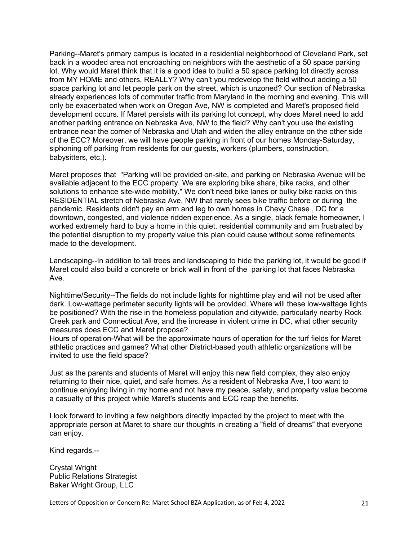Parking--Maret's primary campus is located in a residential neighborhood of Cleveland Park, set back in a wooded area not encroaching on neighbors with the aesthetic of a 50 space parking lot. Why would Maret think that it is a good idea to build a 50 space parking lot directly across from MY HOME and others, REALLY? Why can't you redevelop the field without adding a 50 space parking lot and let people park on the street, which is unzoned? Our section of Nebraska already experiences lots of commuter traffic from Maryland in the morning and evening. This will only be exacerbated when work on Oregon Ave, NW is completed and Maret's proposed field development occurs. If Maret persists with its parking lot concept, why does Maret need to add another parking entrance on Nebraska Ave, NW to the field? Why can't you use the existing entrance near the corner of Nebraska and Utah and widen the alley entrance on the other side of the ECC? Moreover, we will have people parking in front of our homes Monday-Saturday, siphoning off parking from residents for our guests, workers (plumbers, construction, babysitters, etc.).

Maret proposes that "Parking will be provided on-site, and parking on Nebraska Avenue will be available adjacent to the ECC property. We are exploring bike share, bike racks, and other solutions to enhance site-wide mobility." We don't need bike lanes or bulky bike racks on this RESIDENTIAL stretch of Nebraska Ave, NW that rarely sees bike traffic before or during the pandemic. Residents didn't pay an arm and leg to own homes in Chevy Chase , DC for a downtown, congested, and violence ridden experience. As a single, black female homeowner, I worked extremely hard to buy a home in this quiet, residential community and am frustrated by the potential disruption to my property value this plan could cause without some refinements made to the development.

Landscaping--In addition to tall trees and landscaping to hide the parking lot, it would be good if Maret could also build a concrete or brick wall in front of the parking lot that faces Nebraska Ave.

Nighttime/Security--The fields do not include lights for nighttime play and will not be used after dark. Low-wattage perimeter security lights will be provided. Where will these low-wattage lights be positioned? With the rise in the homeless population and citywide, particularly nearby Rock Creek park and Connecticut Ave, and the increase in violent crime in DC, what other security measures does ECC and Maret propose?

Hours of operation-What will be the approximate hours of operation for the turf fields for Maret athletic practices and games? What other District-based youth athletic organizations will be invited to use the field space?

Just as the parents and students of Maret will enjoy this new field complex, they also enjoy returning to their nice, quiet, and safe homes. As a resident of Nebraska Ave, I too want to continue enjoying living in my home and not have my peace, safety, and property value become a casualty of this project while Maret's students and ECC reap the benefits.

I look forward to inviting a few neighbors directly impacted by the project to meet with the appropriate person at Maret to share our thoughts in creating a "field of dreams" that everyone can enjoy.

Kind regards,--

Crystal Wright Public Relations Strategist Baker Wright Group, LLC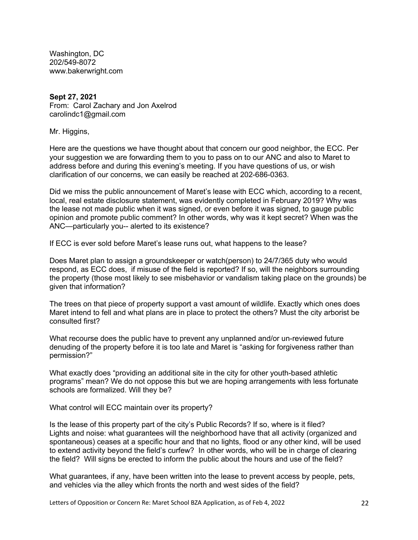Washington, DC 202/549-8072 www.bakerwright.com

# **Sept 27, 2021**

From: Carol Zachary and Jon Axelrod carolindc1@gmail.com

Mr. Higgins,

Here are the questions we have thought about that concern our good neighbor, the ECC. Per your suggestion we are forwarding them to you to pass on to our ANC and also to Maret to address before and during this evening's meeting. If you have questions of us, or wish clarification of our concerns, we can easily be reached at 202-686-0363.

Did we miss the public announcement of Maret's lease with ECC which, according to a recent, local, real estate disclosure statement, was evidently completed in February 2019? Why was the lease not made public when it was signed, or even before it was signed, to gauge public opinion and promote public comment? In other words, why was it kept secret? When was the ANC—particularly you-- alerted to its existence?

If ECC is ever sold before Maret's lease runs out, what happens to the lease?

Does Maret plan to assign a groundskeeper or watch(person) to 24/7/365 duty who would respond, as ECC does, if misuse of the field is reported? If so, will the neighbors surrounding the property (those most likely to see misbehavior or vandalism taking place on the grounds) be given that information?

The trees on that piece of property support a vast amount of wildlife. Exactly which ones does Maret intend to fell and what plans are in place to protect the others? Must the city arborist be consulted first?

What recourse does the public have to prevent any unplanned and/or un-reviewed future denuding of the property before it is too late and Maret is "asking for forgiveness rather than permission?"

What exactly does "providing an additional site in the city for other youth-based athletic programs" mean? We do not oppose this but we are hoping arrangements with less fortunate schools are formalized. Will they be?

What control will ECC maintain over its property?

Is the lease of this property part of the city's Public Records? If so, where is it filed? Lights and noise: what guarantees will the neighborhood have that all activity (organized and spontaneous) ceases at a specific hour and that no lights, flood or any other kind, will be used to extend activity beyond the field's curfew? In other words, who will be in charge of clearing the field? Will signs be erected to inform the public about the hours and use of the field?

What guarantees, if any, have been written into the lease to prevent access by people, pets, and vehicles via the alley which fronts the north and west sides of the field?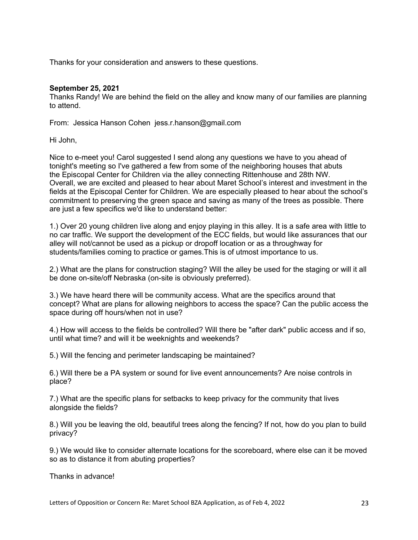Thanks for your consideration and answers to these questions.

### **September 25, 2021**

Thanks Randy! We are behind the field on the alley and know many of our families are planning to attend.

From: Jessica Hanson Cohen jess.r.hanson@gmail.com

Hi John,

Nice to e-meet you! Carol suggested I send along any questions we have to you ahead of tonight's meeting so I've gathered a few from some of the neighboring houses that abuts the Episcopal Center for Children via the alley connecting Rittenhouse and 28th NW. Overall, we are excited and pleased to hear about Maret School's interest and investment in the fields at the Episcopal Center for Children. We are especially pleased to hear about the school's commitment to preserving the green space and saving as many of the trees as possible. There are just a few specifics we'd like to understand better:

1.) Over 20 young children live along and enjoy playing in this alley. It is a safe area with little to no car traffic. We support the development of the ECC fields, but would like assurances that our alley will not/cannot be used as a pickup or dropoff location or as a throughway for students/families coming to practice or games.This is of utmost importance to us.

2.) What are the plans for construction staging? Will the alley be used for the staging or will it all be done on-site/off Nebraska (on-site is obviously preferred).

3.) We have heard there will be community access. What are the specifics around that concept? What are plans for allowing neighbors to access the space? Can the public access the space during off hours/when not in use?

4.) How will access to the fields be controlled? Will there be "after dark" public access and if so, until what time? and will it be weeknights and weekends?

5.) Will the fencing and perimeter landscaping be maintained?

6.) Will there be a PA system or sound for live event announcements? Are noise controls in place?

7.) What are the specific plans for setbacks to keep privacy for the community that lives alongside the fields?

8.) Will you be leaving the old, beautiful trees along the fencing? If not, how do you plan to build privacy?

9.) We would like to consider alternate locations for the scoreboard, where else can it be moved so as to distance it from abuting properties?

Thanks in advance!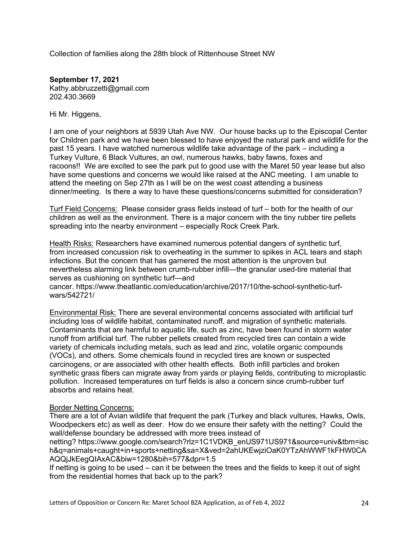Collection of families along the 28th block of Rittenhouse Street NW

**September 17, 2021** Kathy.abbruzzetti@gmail.com 202.430.3669

Hi Mr. Higgens,

I am one of your neighbors at 5939 Utah Ave NW. Our house backs up to the Episcopal Center for Children park and we have been blessed to have enjoyed the natural park and wildlife for the past 15 years. I have watched numerous wildlife take advantage of the park – including a Turkey Vulture, 6 Black Vultures, an owl, numerous hawks, baby fawns, foxes and racoons!! We are excited to see the park put to good use with the Maret 50 year lease but also have some questions and concerns we would like raised at the ANC meeting. I am unable to attend the meeting on Sep 27th as I will be on the west coast attending a business dinner/meeting. Is there a way to have these questions/concerns submitted for consideration?

Turf Field Concerns: Please consider grass fields instead of turf – both for the health of our children as well as the environment. There is a major concern with the tiny rubber tire pellets spreading into the nearby environment – especially Rock Creek Park.

Health Risks: Researchers have examined numerous potential dangers of synthetic turf, from increased concussion risk to overheating in the summer to spikes in ACL tears and staph infections. But the concern that has garnered the most attention is the unproven but nevertheless alarming link between crumb-rubber infill—the granular used-tire material that serves as cushioning on synthetic turf—and

cancer. https://www.theatlantic.com/education/archive/2017/10/the-school-synthetic-turfwars/542721/

Environmental Risk: There are several environmental concerns associated with artificial turf including loss of wildlife habitat, contaminated runoff, and migration of synthetic materials. Contaminants that are harmful to aquatic life, such as zinc, have been found in storm water runoff from artificial turf. The rubber pellets created from recycled tires can contain a wide variety of chemicals including metals, such as lead and zinc, volatile organic compounds (VOCs), and others. Some chemicals found in recycled tires are known or suspected carcinogens, or are associated with other health effects. Both infill particles and broken synthetic grass fibers can migrate away from yards or playing fields, contributing to microplastic pollution. Increased temperatures on turf fields is also a concern since crumb-rubber turf absorbs and retains heat.

# Border Netting Concerns:

There are a lot of Avian wildlife that frequent the park (Turkey and black vultures, Hawks, Owls, Woodpeckers etc) as well as deer. How do we ensure their safety with the netting? Could the wall/defense boundary be addressed with more trees instead of

netting? https://www.google.com/search?rlz=1C1VDKB\_enUS971US971&source=univ&tbm=isc h&q=animals+caught+in+sports+netting&sa=X&ved=2ahUKEwjziOaK0YTzAhWWF1kFHW0CA AQQjJkEegQIAxAC&biw=1280&bih=577&dpr=1.5

If netting is going to be used – can it be between the trees and the fields to keep it out of sight from the residential homes that back up to the park?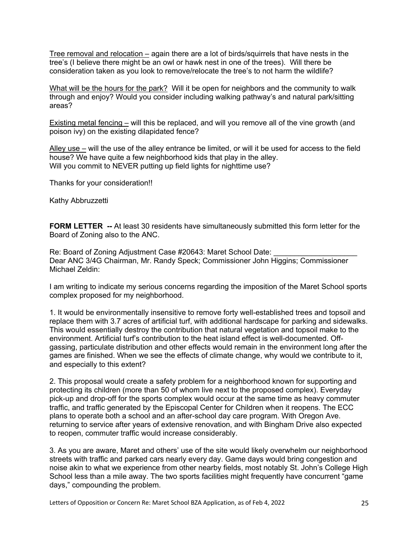Tree removal and relocation – again there are a lot of birds/squirrels that have nests in the tree's (I believe there might be an owl or hawk nest in one of the trees). Will there be consideration taken as you look to remove/relocate the tree's to not harm the wildlife?

What will be the hours for the park? Will it be open for neighbors and the community to walk through and enjoy? Would you consider including walking pathway's and natural park/sitting areas?

Existing metal fencing – will this be replaced, and will you remove all of the vine growth (and poison ivy) on the existing dilapidated fence?

Alley use – will the use of the alley entrance be limited, or will it be used for access to the field house? We have quite a few neighborhood kids that play in the alley. Will you commit to NEVER putting up field lights for nighttime use?

Thanks for your consideration!!

Kathy Abbruzzetti

**FORM LETTER** -- At least 30 residents have simultaneously submitted this form letter for the Board of Zoning also to the ANC.

Re: Board of Zoning Adjustment Case #20643: Maret School Date: Dear ANC 3/4G Chairman, Mr. Randy Speck; Commissioner John Higgins; Commissioner Michael Zeldin:

I am writing to indicate my serious concerns regarding the imposition of the Maret School sports complex proposed for my neighborhood.

1. It would be environmentally insensitive to remove forty well-established trees and topsoil and replace them with 3.7 acres of artificial turf, with additional hardscape for parking and sidewalks. This would essentially destroy the contribution that natural vegetation and topsoil make to the environment. Artificial turf's contribution to the heat island effect is well-documented. Offgassing, particulate distribution and other effects would remain in the environment long after the games are finished. When we see the effects of climate change, why would we contribute to it, and especially to this extent?

2. This proposal would create a safety problem for a neighborhood known for supporting and protecting its children (more than 50 of whom live next to the proposed complex). Everyday pick-up and drop-off for the sports complex would occur at the same time as heavy commuter traffic, and traffic generated by the Episcopal Center for Children when it reopens. The ECC plans to operate both a school and an after-school day care program. With Oregon Ave. returning to service after years of extensive renovation, and with Bingham Drive also expected to reopen, commuter traffic would increase considerably.

3. As you are aware, Maret and others' use of the site would likely overwhelm our neighborhood streets with traffic and parked cars nearly every day. Game days would bring congestion and noise akin to what we experience from other nearby fields, most notably St. John's College High School less than a mile away. The two sports facilities might frequently have concurrent "game days," compounding the problem.